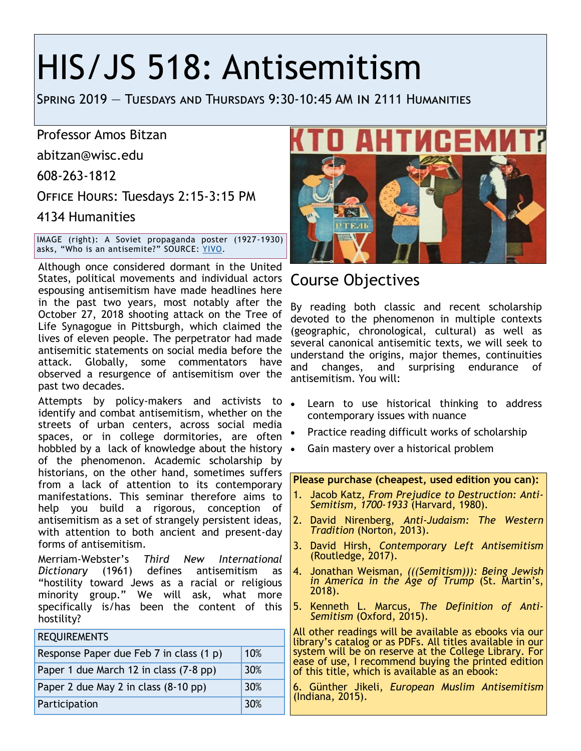# HIS/JS 518: Antisemitism

Spring 2019 — Tuesdays and Thursdays 9:30-10:45 AM in 2111 Humanities

Professor Amos Bitzan

abitzan@wisc.edu

608-263-1812

Office Hours: Tuesdays 2:15-3:15 PM

4134 Humanities

IMAGE (right): A Soviet propaganda poster (1927-1930) asks, "Who is an antisemite?" SOURCE: [YIVO.](http://yivoencyclopedia.org/article.aspx/Antisemitic_Parties_and_Movements)

Although once considered dormant in the United States, political movements and individual actors Course Objectives espousing antisemitism have made headlines here in the past two years, most notably after the October 27, 2018 shooting attack on the Tree of Life Synagogue in Pittsburgh, which claimed the lives of eleven people. The perpetrator had made antisemitic statements on social media before the attack. Globally, some commentators have observed a resurgence of antisemitism over the past two decades.

Attempts by policy-makers and activists to . identify and combat antisemitism, whether on the streets of urban centers, across social media spaces, or in college dormitories, are often hobbled by a lack of knowledge about the history • of the phenomenon. Academic scholarship by historians, on the other hand, sometimes suffers from a lack of attention to its contemporary manifestations. This seminar therefore aims to help you build a rigorous, conception of antisemitism as a set of strangely persistent ideas, with attention to both ancient and present-day forms of antisemitism.

Merriam-Webster's *Third New International Dictionary* (1961) defines antisemitism as "hostility toward Jews as a racial or religious minority group." We will ask, what more specifically is/has been the content of this hostility?

| <b>REQUIREMENTS</b>                     |     |
|-----------------------------------------|-----|
| Response Paper due Feb 7 in class (1 p) | 10% |
| Paper 1 due March 12 in class (7-8 pp)  | 30% |
| Paper 2 due May 2 in class (8-10 pp)    | 30% |
| Participation                           | 30% |



By reading both classic and recent scholarship devoted to the phenomenon in multiple contexts (geographic, chronological, cultural) as well as several canonical antisemitic texts, we will seek to understand the origins, major themes, continuities and changes, and surprising endurance of antisemitism. You will:

- Learn to use historical thinking to address contemporary issues with nuance
- Practice reading difficult works of scholarship
- Gain mastery over a historical problem

**Please purchase (cheapest, used edition you can):**

- 1. Jacob Katz, *From Prejudice to Destruction: Anti-Semitism, 1700-1933* (Harvard, 1980)*.*
- 2. David Nirenberg, *Anti-Judaism: The Western Tradition* (Norton, 2013).
- 3. David Hirsh, *Contemporary Left Antisemitism* (Routledge, 2017).
- 4. Jonathan Weisman, *(((Semitism))): Being Jewish in America in the Age of Trump* (St. Martin's, 2018).
- 5. Kenneth L. Marcus, *The Definition of Anti-Semitism* (Oxford, 2015).

All other readings will be available as ebooks via our library's catalog or as PDFs. All titles available in our system will be on reserve at the College Library. For ease of use, I recommend buying the printed edition of this title, which is available as an ebook:

6. Günther Jikeli, *European Muslim Antisemitism* (Indiana, 2015).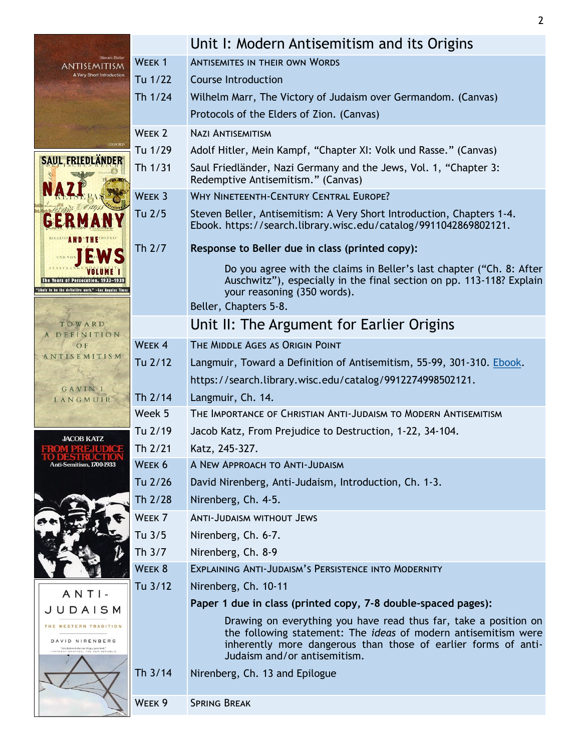| <b>Steven Beller</b>                                                                                  |                   | Unit I: Modern Antisemitism and its Origins                                                                                                                                 |  |  |
|-------------------------------------------------------------------------------------------------------|-------------------|-----------------------------------------------------------------------------------------------------------------------------------------------------------------------------|--|--|
| <i><b>ANTISEMITISM</b></i><br>A Very Short Introduction                                               | WEEK <sub>1</sub> | <b>ANTISEMITES IN THEIR OWN WORDS</b>                                                                                                                                       |  |  |
|                                                                                                       | Tu 1/22           | <b>Course Introduction</b>                                                                                                                                                  |  |  |
|                                                                                                       | Th 1/24           | Wilhelm Marr, The Victory of Judaism over Germandom. (Canvas)                                                                                                               |  |  |
|                                                                                                       |                   | Protocols of the Elders of Zion. (Canvas)                                                                                                                                   |  |  |
|                                                                                                       | WEEK <sub>2</sub> | <b>NAZI ANTISEMITISM</b>                                                                                                                                                    |  |  |
|                                                                                                       | Tu 1/29           | Adolf Hitler, Mein Kampf, "Chapter XI: Volk und Rasse." (Canvas)                                                                                                            |  |  |
| <b>SAUL FRIEDLANDER</b>                                                                               | Th 1/31           | Saul Friedländer, Nazi Germany and the Jews, Vol. 1, "Chapter 3:<br>Redemptive Antisemitism." (Canvas)                                                                      |  |  |
|                                                                                                       | WEEK 3            | WHY NINETEENTH-CENTURY CENTRAL EUROPE?                                                                                                                                      |  |  |
|                                                                                                       | Tu 2/5            | Steven Beller, Antisemitism: A Very Short Introduction, Chapters 1-4.<br>Ebook. https://search.library.wisc.edu/catalog/9911042869802121.                                   |  |  |
| Th 2/7                                                                                                |                   | Response to Beller due in class (printed copy):                                                                                                                             |  |  |
| The Years of Persecution, 1933-<br>'Likely to be the definitive work." -Los Angeles Time:             |                   | Do you agree with the claims in Beller's last chapter ("Ch. 8: After<br>Auschwitz"), especially in the final section on pp. 113-118? Explain<br>your reasoning (350 words). |  |  |
|                                                                                                       |                   | Beller, Chapters 5-8.                                                                                                                                                       |  |  |
| TOWARD<br>A DEFINITION                                                                                |                   | Unit II: The Argument for Earlier Origins                                                                                                                                   |  |  |
| OF                                                                                                    | WEEK <sub>4</sub> | THE MIDDLE AGES AS ORIGIN POINT                                                                                                                                             |  |  |
| ANTISEMITISM<br>Tu 2/12<br>GAVINI.<br>Th 2/14<br>LANGMUIR                                             |                   | Langmuir, Toward a Definition of Antisemitism, 55-99, 301-310. Ebook.                                                                                                       |  |  |
|                                                                                                       |                   | https://search.library.wisc.edu/catalog/9912274998502121.                                                                                                                   |  |  |
|                                                                                                       |                   | Langmuir, Ch. 14.                                                                                                                                                           |  |  |
|                                                                                                       | Week 5            | THE IMPORTANCE OF CHRISTIAN ANTI-JUDAISM TO MODERN ANTISEMITISM                                                                                                             |  |  |
|                                                                                                       | Tu 2/19           | Jacob Katz, From Prejudice to Destruction, 1-22, 34-104.                                                                                                                    |  |  |
| <b>JACOB KATZ</b>                                                                                     | Th 2/21           | Katz, 245-327.                                                                                                                                                              |  |  |
| Anti-Semitism, 1700-1933                                                                              | WEEK 6            | A NEW APPROACH TO ANTI-JUDAISM                                                                                                                                              |  |  |
|                                                                                                       | Tu 2/26           | David Nirenberg, Anti-Judaism, Introduction, Ch. 1-3.                                                                                                                       |  |  |
|                                                                                                       | Th 2/28           | Nirenberg, Ch. 4-5.                                                                                                                                                         |  |  |
|                                                                                                       | WEEK <sub>7</sub> | <b>ANTI-JUDAISM WITHOUT JEWS</b>                                                                                                                                            |  |  |
|                                                                                                       | Tu 3/5            | Nirenberg, Ch. 6-7.                                                                                                                                                         |  |  |
|                                                                                                       | Th 3/7            | Nirenberg, Ch. 8-9                                                                                                                                                          |  |  |
|                                                                                                       | WEEK 8            | EXPLAINING ANTI-JUDAISM'S PERSISTENCE INTO MODERNITY                                                                                                                        |  |  |
|                                                                                                       | Tu 3/12           | Nirenberg, Ch. 10-11                                                                                                                                                        |  |  |
| $ANTI-$                                                                                               |                   | Paper 1 due in class (printed copy, 7-8 double-spaced pages):                                                                                                               |  |  |
| JUDAISM<br>WESTERN TRADITION                                                                          |                   | Drawing on everything you have read thus far, take a position on                                                                                                            |  |  |
| DAVID NIRENBERG<br>"Anti-Judeice is that rare thing, a great book."<br>HONY GRAFTON, THE NEW REPUBLIC |                   | the following statement: The <i>ideas</i> of modern antisemitism were<br>inherently more dangerous than those of earlier forms of anti-<br>Judaism and/or antisemitism.     |  |  |
|                                                                                                       | Th 3/14           | Nirenberg, Ch. 13 and Epilogue                                                                                                                                              |  |  |
|                                                                                                       | WEEK 9            | <b>SPRING BREAK</b>                                                                                                                                                         |  |  |
|                                                                                                       |                   |                                                                                                                                                                             |  |  |

2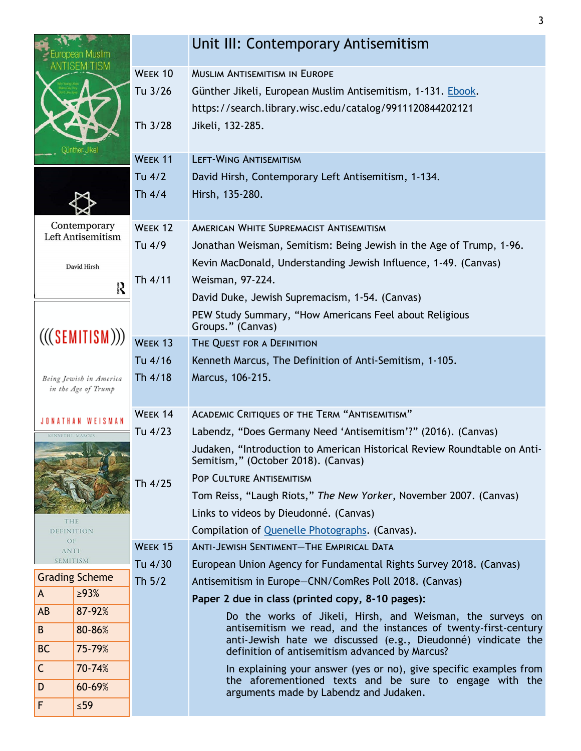| opean Muslim                                                              |                       |                                                                             | Unit III: Contemporary Antisemitism                                                                                              |  |  |  |
|---------------------------------------------------------------------------|-----------------------|-----------------------------------------------------------------------------|----------------------------------------------------------------------------------------------------------------------------------|--|--|--|
|                                                                           | VILISM                | WEEK 10                                                                     | <b>MUSLIM ANTISEMITISM IN EUROPE</b>                                                                                             |  |  |  |
|                                                                           |                       | Tu 3/26                                                                     | Günther Jikeli, European Muslim Antisemitism, 1-131. Ebook.                                                                      |  |  |  |
|                                                                           |                       |                                                                             | https://search.library.wisc.edu/catalog/9911120844202121                                                                         |  |  |  |
|                                                                           | iünther Jikeli        | Th 3/28                                                                     | Jikeli, 132-285.                                                                                                                 |  |  |  |
|                                                                           |                       | WEEK 11                                                                     | <b>LEFT-WING ANTISEMITISM</b>                                                                                                    |  |  |  |
|                                                                           |                       | Tu 4/2                                                                      | David Hirsh, Contemporary Left Antisemitism, 1-134.                                                                              |  |  |  |
|                                                                           |                       | Th $4/4$                                                                    | Hirsh, 135-280.                                                                                                                  |  |  |  |
|                                                                           |                       |                                                                             |                                                                                                                                  |  |  |  |
| Contemporary<br>Left Antisemitism                                         |                       | WEEK 12                                                                     | AMERICAN WHITE SUPREMACIST ANTISEMITISM                                                                                          |  |  |  |
|                                                                           |                       | Tu 4/9                                                                      | Jonathan Weisman, Semitism: Being Jewish in the Age of Trump, 1-96.                                                              |  |  |  |
|                                                                           | David Hirsh           |                                                                             | Kevin MacDonald, Understanding Jewish Influence, 1-49. (Canvas)                                                                  |  |  |  |
| <b>Selfa</b>                                                              |                       | Th 4/11                                                                     | Weisman, 97-224.                                                                                                                 |  |  |  |
|                                                                           |                       |                                                                             | David Duke, Jewish Supremacism, 1-54. (Canvas)                                                                                   |  |  |  |
|                                                                           |                       | PEW Study Summary, "How Americans Feel about Religious<br>Groups." (Canvas) |                                                                                                                                  |  |  |  |
| (((SEMITISM)))                                                            |                       | WEEK <sub>13</sub>                                                          | THE QUEST FOR A DEFINITION                                                                                                       |  |  |  |
|                                                                           |                       | Tu 4/16                                                                     | Kenneth Marcus, The Definition of Anti-Semitism, 1-105.                                                                          |  |  |  |
| Th 4/18<br>Being Jewish in America                                        |                       |                                                                             | Marcus, 106-215.                                                                                                                 |  |  |  |
| in the Age of Trump                                                       |                       |                                                                             |                                                                                                                                  |  |  |  |
| JONATHAN WEISMAN                                                          |                       | WEEK 14                                                                     | ACADEMIC CRITIQUES OF THE TERM "ANTISEMITISM"                                                                                    |  |  |  |
|                                                                           |                       | Tu 4/23                                                                     | Labendz, "Does Germany Need 'Antisemitism'?" (2016). (Canvas)                                                                    |  |  |  |
|                                                                           |                       |                                                                             | Judaken, "Introduction to American Historical Review Roundtable on Anti-<br>Semitism," (October 2018). (Canvas)                  |  |  |  |
|                                                                           |                       | Th 4/25                                                                     | <b>POP CULTURE ANTISEMITISM</b>                                                                                                  |  |  |  |
|                                                                           |                       |                                                                             | Tom Reiss, "Laugh Riots," The New Yorker, November 2007. (Canvas)                                                                |  |  |  |
| THE<br>DEFINITION<br>OF<br>WEEK 15<br>ANTI-<br><b>SEMITISM</b><br>Tu 4/30 |                       |                                                                             | Links to videos by Dieudonné. (Canvas)                                                                                           |  |  |  |
|                                                                           |                       |                                                                             | Compilation of Quenelle Photographs. (Canvas).                                                                                   |  |  |  |
|                                                                           |                       |                                                                             | <b>ANTI-JEWISH SENTIMENT-THE EMPIRICAL DATA</b>                                                                                  |  |  |  |
|                                                                           |                       |                                                                             | European Union Agency for Fundamental Rights Survey 2018. (Canvas)                                                               |  |  |  |
|                                                                           | <b>Grading Scheme</b> | Th $5/2$                                                                    | Antisemitism in Europe-CNN/ComRes Poll 2018. (Canvas)                                                                            |  |  |  |
| A                                                                         | $\geq 93\%$           |                                                                             | Paper 2 due in class (printed copy, 8-10 pages):                                                                                 |  |  |  |
| AB                                                                        | 87-92%                |                                                                             | Do the works of Jikeli, Hirsh, and Weisman, the surveys on                                                                       |  |  |  |
| B.                                                                        | 80-86%                |                                                                             | antisemitism we read, and the instances of twenty-first-century<br>anti-Jewish hate we discussed (e.g., Dieudonné) vindicate the |  |  |  |
| <b>BC</b>                                                                 | 75-79%                |                                                                             | definition of antisemitism advanced by Marcus?                                                                                   |  |  |  |
| $\mathsf{C}$<br>70-74%                                                    |                       |                                                                             | In explaining your answer (yes or no), give specific examples from<br>the aforementioned texts and be sure to engage with the    |  |  |  |
| D                                                                         | 60-69%                |                                                                             | arguments made by Labendz and Judaken.                                                                                           |  |  |  |
| F                                                                         | $\leq 59$             |                                                                             |                                                                                                                                  |  |  |  |

3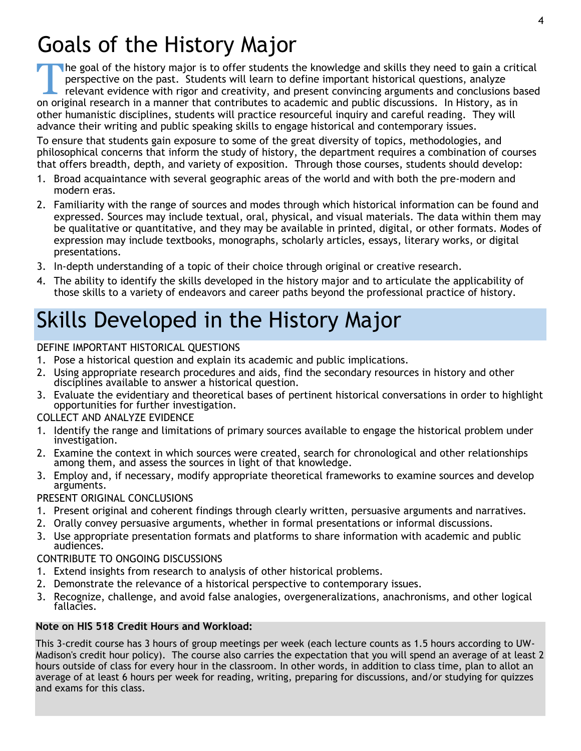### Goals of the History Major

The goal of the history major is to offer students the knowledge and skills they need to gain a crit perspective on the past. Students will learn to define important historical questions, analyze relevant evidence with rig he goal of the history major is to offer students the knowledge and skills they need to gain a critical perspective on the past. Students will learn to define important historical questions, analyze relevant evidence with rigor and creativity, and present convincing arguments and conclusions based other humanistic disciplines, students will practice resourceful inquiry and careful reading. They will advance their writing and public speaking skills to engage historical and contemporary issues.

To ensure that students gain exposure to some of the great diversity of topics, methodologies, and philosophical concerns that inform the study of history, the department requires a combination of courses that offers breadth, depth, and variety of exposition. Through those courses, students should develop:

- 1. Broad acquaintance with several geographic areas of the world and with both the pre-modern and modern eras.
- 2. Familiarity with the range of sources and modes through which historical information can be found and expressed. Sources may include textual, oral, physical, and visual materials. The data within them may be qualitative or quantitative, and they may be available in printed, digital, or other formats. Modes of expression may include textbooks, monographs, scholarly articles, essays, literary works, or digital presentations.
- 3. In-depth understanding of a topic of their choice through original or creative research.
- 4. The ability to identify the skills developed in the history major and to articulate the applicability of those skills to a variety of endeavors and career paths beyond the professional practice of history.

## Skills Developed in the History Major

#### DEFINE IMPORTANT HISTORICAL QUESTIONS

- 1. Pose a historical question and explain its academic and public implications.
- 2. Using appropriate research procedures and aids, find the secondary resources in history and other disciplines available to answer a historical question.
- 3. Evaluate the evidentiary and theoretical bases of pertinent historical conversations in order to highlight opportunities for further investigation.

#### COLLECT AND ANALYZE EVIDENCE

- 1. Identify the range and limitations of primary sources available to engage the historical problem under investigation.
- 2. Examine the context in which sources were created, search for chronological and other relationships among them, and assess the sources in light of that knowledge.
- 3. Employ and, if necessary, modify appropriate theoretical frameworks to examine sources and develop arguments.

#### PRESENT ORIGINAL CONCLUSIONS

- 1. Present original and coherent findings through clearly written, persuasive arguments and narratives.
- 2. Orally convey persuasive arguments, whether in formal presentations or informal discussions.
- 3. Use appropriate presentation formats and platforms to share information with academic and public audiences.

### CONTRIBUTE TO ONGOING DISCUSSIONS

- 1. Extend insights from research to analysis of other historical problems.
- 2. Demonstrate the relevance of a historical perspective to contemporary issues.
- 3. Recognize, challenge, and avoid false analogies, overgeneralizations, anachronisms, and other logical fallacies.

### **Note on HIS 518 Credit Hours and Workload:**

This 3-credit course has 3 hours of group meetings per week (each lecture counts as 1.5 hours according to UW-Madison's credit hour policy). The course also carries the expectation that you will spend an average of at least 2 hours outside of class for every hour in the classroom. In other words, in addition to class time, plan to allot an average of at least 6 hours per week for reading, writing, preparing for discussions, and/or studying for quizzes and exams for this class.